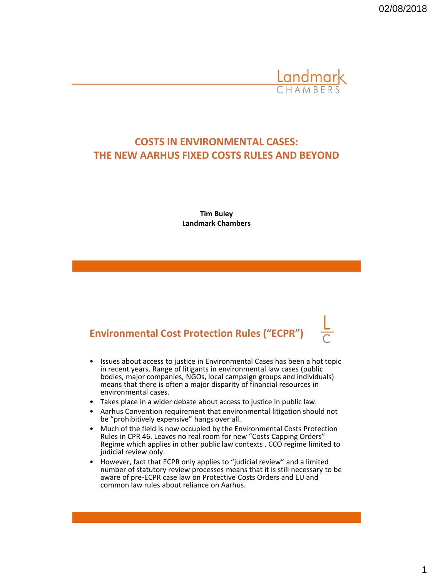02/08/2018



#### **COSTS IN ENVIRONMENTAL CASES: THE NEW AARHUS FIXED COSTS RULES AND BEYOND**

**Tim Buley Landmark Chambers**

# **Environmental Cost Protection Rules ("ECPR")**

- Issues about access to justice in Environmental Cases has been a hot topic in recent years. Range of litigants in environmental law cases (public bodies, major companies, NGOs, local campaign groups and individuals) means that there is often a major disparity of financial resources in environmental cases.
- Takes place in a wider debate about access to justice in public law.
- Aarhus Convention requirement that environmental litigation should not be "prohibitively expensive" hangs over all.
- Much of the field is now occupied by the Environmental Costs Protection Rules in CPR 46. Leaves no real room for new "Costs Capping Orders" Regime which applies in other public law contexts . CCO regime limited to judicial review only.
- However, fact that ECPR only applies to "judicial review" and a limited number of statutory review processes means that it is still necessary to be aware of pre-ECPR case law on Protective Costs Orders and EU and common law rules about reliance on Aarhus.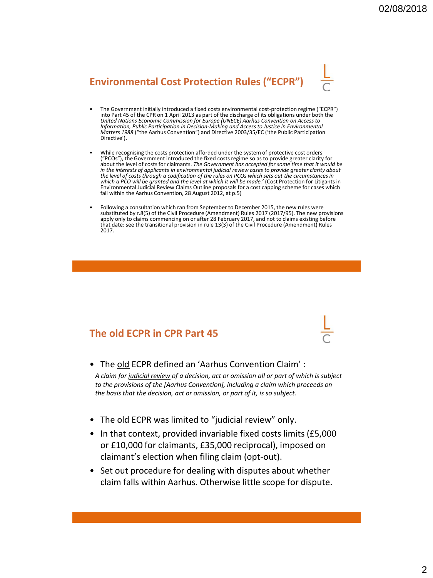# **Environmental Cost Protection Rules ("ECPR")**

- The Government initially introduced a fixed costs environmental cost-protection regime ("ECPR") into Part 45 of the CPR on 1 April 2013 as part of the discharge of its obligations under both the *United Nations Economic Commission for Europe (UNECE) Aarhus Convention on Access to Information, Public Participation in Decision-Making and Access to Justice in Environmental Matters 1988* ("the Aarhus Convention") and Directive 2003/35/EC ('the Public Participation Directive').
- While recognising the costs protection afforded under the system of protective cost orders ("PCOs"), the Government introduced the fixed costs regime so as to provide greater clarity for about the level of costs for claimants. *The Government has accepted for some time that it would be*  in the interests of applicants in environmental judicial review cases to provide greater clarity about<br>the level of costs through a codification of the rules on PCOs which sets out the circumstances in which a PCO will be granted and the level at which it will be made.' (Cost Protection for Litigants in Environmental Judicial Review Claims Outline proposals for a cost capping scheme for cases which fall within the Aarhus Convention, 28 August 2012, at p.5)
- Following a consultation which ran from September to December 2015, the new rules were substituted by r.8(5) of the Civil Procedure (Amendment) Rules 2017 (2017/95). The new provisions apply only to claims commencing on or after 28 February 2017, and not to claims existing before that date: see the transitional provision in rule 13(3) of the Civil Procedure (Amendment) Rules 2017.

### **The old ECPR in CPR Part 45**

• The old ECPR defined an 'Aarhus Convention Claim':

*A claim for judicial review of a decision, act or omission all or part of which is subject to the provisions of the [Aarhus Convention], including a claim which proceeds on the basis that the decision, act or omission, or part of it, is so subject.*

- The old ECPR was limited to "judicial review" only.
- In that context, provided invariable fixed costs limits (£5,000 or £10,000 for claimants, £35,000 reciprocal), imposed on claimant's election when filing claim (opt-out).
- Set out procedure for dealing with disputes about whether claim falls within Aarhus. Otherwise little scope for dispute.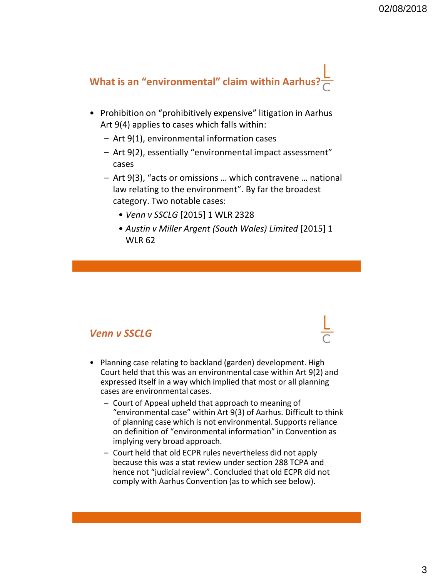

- Prohibition on "prohibitively expensive" litigation in Aarhus Art 9(4) applies to cases which falls within:
	- Art 9(1), environmental information cases
	- Art 9(2), essentially "environmental impact assessment" cases
	- Art 9(3), "acts or omissions … which contravene … national law relating to the environment". By far the broadest category. Two notable cases:
		- *Venn v SSCLG* [2015] 1 WLR 2328
		- *Austin v Miller Argent (South Wales) Limited* [2015] 1 WLR 62

#### *Venn v SSCLG*

- Planning case relating to backland (garden) development. High Court held that this was an environmental case within Art 9(2) and expressed itself in a way which implied that most or all planning cases are environmental cases.
	- Court of Appeal upheld that approach to meaning of "environmental case" within Art 9(3) of Aarhus. Difficult to think of planning case which is not environmental. Supports reliance on definition of "environmental information" in Convention as implying very broad approach.
	- Court held that old ECPR rules nevertheless did not apply because this was a stat review under section 288 TCPA and hence not "judicial review". Concluded that old ECPR did not comply with Aarhus Convention (as to which see below).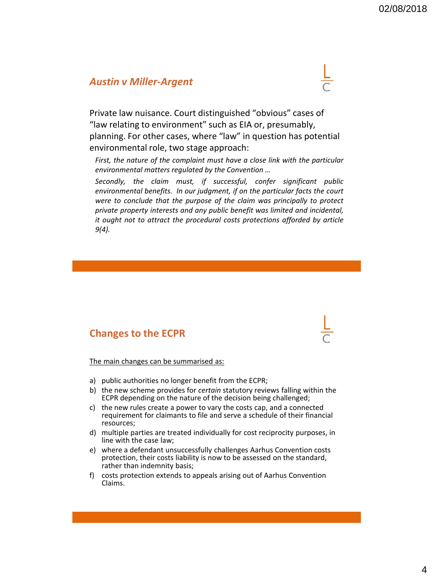#### *Austin v Miller-Argent*



Private law nuisance. Court distinguished "obvious" cases of "law relating to environment" such as EIA or, presumably, planning. For other cases, where "law" in question has potential environmental role, two stage approach:

*First, the nature of the complaint must have a close link with the particular environmental matters regulated by the Convention …*

*Secondly, the claim must, if successful, confer significant public environmental benefits. In our judgment, if on the particular facts the court were to conclude that the purpose of the claim was principally to protect private property interests and any public benefit was limited and incidental, it ought not to attract the procedural costs protections afforded by article 9(4).*

#### **Changes to the ECPR**

The main changes can be summarised as:

- a) public authorities no longer benefit from the ECPR;
- b) the new scheme provides for *certain* statutory reviews falling within the ECPR depending on the nature of the decision being challenged;
- c) the new rules create a power to vary the costs cap, and a connected requirement for claimants to file and serve a schedule of their financial resources;
- d) multiple parties are treated individually for cost reciprocity purposes, in line with the case law;
- e) where a defendant unsuccessfully challenges Aarhus Convention costs protection, their costs liability is now to be assessed on the standard, rather than indemnity basis;
- f) costs protection extends to appeals arising out of Aarhus Convention Claims.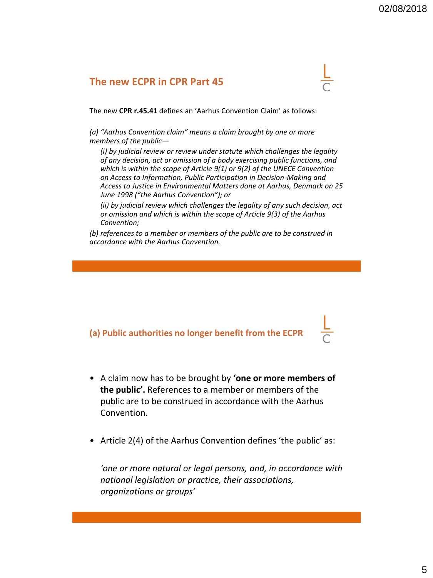#### **The new ECPR in CPR Part 45**

The new **CPR r.45.41** defines an 'Aarhus Convention Claim' as follows:

*(a) "Aarhus Convention claim" means a claim brought by one or more members of the public—*

*(i) by judicial review or review under statute which challenges the legality of any decision, act or omission of a body exercising public functions, and which is within the scope of Article 9(1) or 9(2) of the UNECE Convention on Access to Information, Public Participation in Decision-Making and Access to Justice in Environmental Matters done at Aarhus, Denmark on 25 June 1998 ("the Aarhus Convention"); or*

*(ii) by judicial review which challenges the legality of any such decision, act or omission and which is within the scope of Article 9(3) of the Aarhus Convention;*

*(b) references to a member or members of the public are to be construed in accordance with the Aarhus Convention.*

#### **(a) Public authorities no longer benefit from the ECPR**

- A claim now has to be brought by **'one or more members of the public'.** References to a member or members of the public are to be construed in accordance with the Aarhus Convention.
- Article 2(4) of the Aarhus Convention defines 'the public' as:

*'one or more natural or legal persons, and, in accordance with national legislation or practice, their associations, organizations or groups'*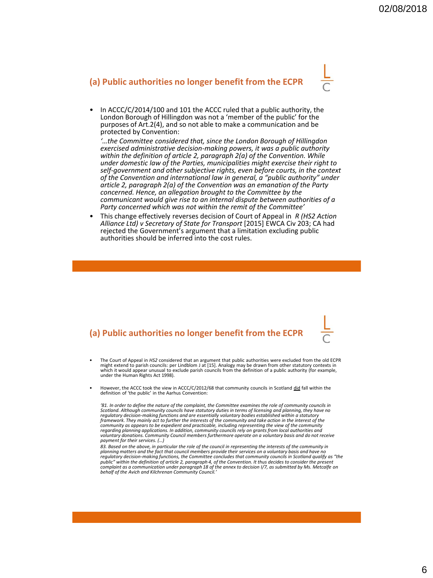#### **(a) Public authorities no longer benefit from the ECPR**



• In ACCC/C/2014/100 and 101 the ACCC ruled that a public authority, the London Borough of Hillingdon was not a 'member of the public' for the purposes of Art.2(4), and so not able to make a communication and be protected by Convention:

*'…the Committee considered that, since the London Borough of Hillingdon exercised administrative decision-making powers, it was a public authority within the definition of article 2, paragraph 2(a) of the Convention. While under domestic law of the Parties, municipalities might exercise their right to self-government and other subjective rights, even before courts, in the context of the Convention and international law in general, a "public authority" under article 2, paragraph 2(a) of the Convention was an emanation of the Party concerned. Hence, an allegation brought to the Committee by the communicant would give rise to an internal dispute between authorities of a Party concerned which was not within the remit of the Committee'*

• This change effectively reverses decision of Court of Appeal in *R (HS2 Action Alliance Ltd) v Secretary of State for Transport* [2015] EWCA Civ 203; CA had rejected the Government's argument that a limitation excluding public authorities should be inferred into the cost rules.

#### **(a) Public authorities no longer benefit from the ECPR**

- The Court of Appeal in *HS2* considered that an argument that public authorities were excluded from the old ECPR might extend to parish councils: per Lindblom J at [15]. Analogy may be drawn from other statutory contexts in which it would appear unusual to exclude parish councils from the definition of a public authority (for example, under the Human Rights Act 1998).
- However, the ACCC took the view in ACCC/C/2012/68 that community councils in Scotland did fall within the definition of 'the public' in the Aarhus Convention:

*'81. In order to define the nature of the complaint, the Committee examines the role of community councils in Scotland. Although community councils have statutory duties in terms of licensing and planning, they have no*  regulatory decision-making functions and are essentially voluntary bodies established within a statutory<br>framework. They mainly act to further the interests of the community and take action in the interest of the community as appears to be expedient and practicable, including representing the view of the community<br>regarding planning applications. In addition, community councils rely on grants from local authorities and<br>voluntary do *payment for their services. (…)*

*83. Based on the above, in particular the role of the council in representing the interests of the community in*  planning matters and the fact that council members provide their services on a voluntary basis and have no<br>regulatory decision-making functions, the Committee concludes that community councils in Scotland qualify as "the<br>p *behalf of the Avich and Kilchrenan Community Council.'*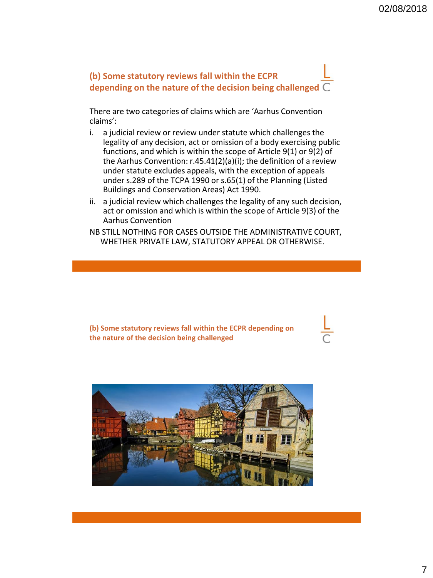

There are two categories of claims which are 'Aarhus Convention claims':

- i. a judicial review or review under statute which challenges the legality of any decision, act or omission of a body exercising public functions, and which is within the scope of Article 9(1) or 9(2) of the Aarhus Convention: r.45.41(2)(a)(i); the definition of a review under statute excludes appeals, with the exception of appeals under s.289 of the TCPA 1990 or s.65(1) of the Planning (Listed Buildings and Conservation Areas) Act 1990.
- ii. a judicial review which challenges the legality of any such decision, act or omission and which is within the scope of Article 9(3) of the Aarhus Convention
- NB STILL NOTHING FOR CASES OUTSIDE THE ADMINISTRATIVE COURT, WHETHER PRIVATE LAW, STATUTORY APPEAL OR OTHERWISE.

**(b) Some statutory reviews fall within the ECPR depending on the nature of the decision being challenged**

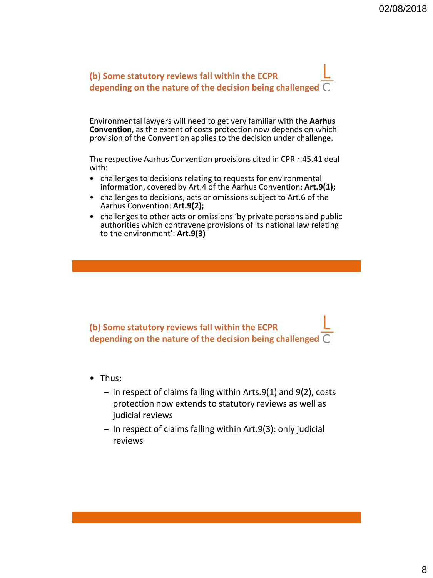

Environmental lawyers will need to get very familiar with the **Aarhus Convention**, as the extent of costs protection now depends on which provision of the Convention applies to the decision under challenge.

The respective Aarhus Convention provisions cited in CPR r.45.41 deal with:

- challenges to decisions relating to requests for environmental information, covered by Art.4 of the Aarhus Convention: **Art.9(1);**
- challenges to decisions, acts or omissions subject to Art.6 of the Aarhus Convention: **Art.9(2);**
- challenges to other acts or omissions 'by private persons and public authorities which contravene provisions of its national law relating to the environment': **Art.9(3)**

**(b) Some statutory reviews fall within the ECPR depending on the nature of the decision being challenged**

- Thus:
	- in respect of claims falling within Arts.9(1) and 9(2), costs protection now extends to statutory reviews as well as judicial reviews
	- In respect of claims falling within Art.9(3): only judicial reviews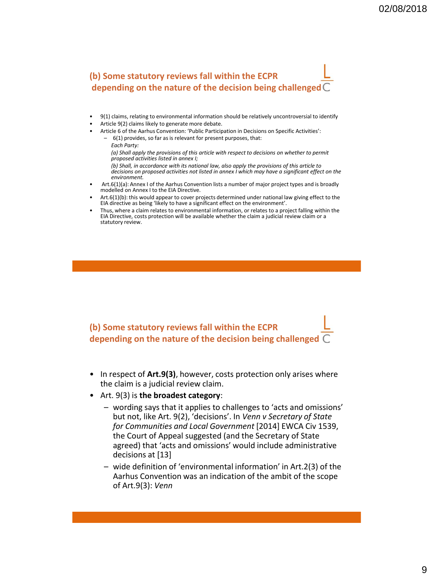# **(b) Some statutory reviews fall within the ECPR depending on the nature of the decision being challenged**

- 9(1) claims, relating to environmental information should be relatively uncontroversial to identify
- Article 9(2) claims likely to generate more debate.
- Article 6 of the Aarhus Convention: 'Public Participation in Decisions on Specific Activities':

– 6(1) provides, so far as is relevant for present purposes, that: *Each Party: (a) Shall apply the provisions of this article with respect to decisions on whether to permit proposed activities listed in annex I; (b) Shall, in accordance with its national law, also apply the provisions of this article to decisions on proposed activities not listed in annex I which may have a significant effect on the environment.* 

- Art.6(1)(a): Annex I of the Aarhus Convention lists a number of major project types and is broadly modelled on Annex I to the EIA Directive.
- Art.6(1)(b): this would appear to cover projects determined under national law giving effect to the EIA directive as being 'likely to have a significant effect on the environment'.
- Thus, where a claim relates to environmental information, or relates to a project falling within the EIA Directive, costs protection will be available whether the claim a judicial review claim or a statutory review.

**(b) Some statutory reviews fall within the ECPR depending on the nature of the decision being challenged**

- In respect of **Art.9(3)**, however, costs protection only arises where the claim is a judicial review claim.
- Art. 9(3) is **the broadest category**:
	- wording says that it applies to challenges to 'acts and omissions' but not, like Art. 9(2), 'decisions'. In *Venn v Secretary of State for Communities and Local Government* [2014] EWCA Civ 1539, the Court of Appeal suggested (and the Secretary of State agreed) that 'acts and omissions' would include administrative decisions at [13]
	- wide definition of 'environmental information' in Art.2(3) of the Aarhus Convention was an indication of the ambit of the scope of Art.9(3): *Venn*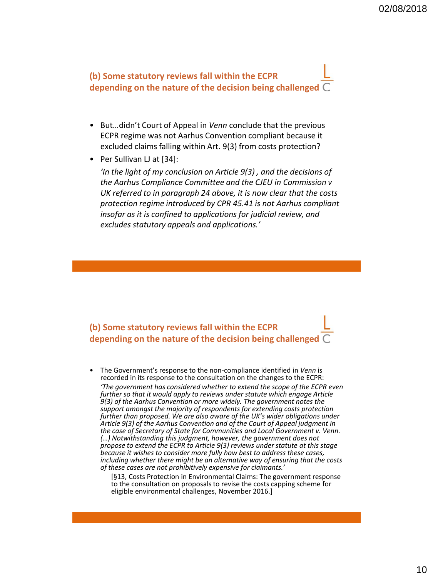**(b) Some statutory reviews fall within the ECPR depending on the nature of the decision being challenged**

- But…didn't Court of Appeal in *Venn* conclude that the previous ECPR regime was not Aarhus Convention compliant because it excluded claims falling within Art. 9(3) from costs protection?
- Per Sullivan LJ at [34]:

*'In the light of my conclusion on Article 9(3) , and the decisions of the Aarhus Compliance Committee and the CJEU in Commission v UK referred to in paragraph 24 above, it is now clear that the costs protection regime introduced by CPR 45.41 is not Aarhus compliant insofar as it is confined to applications for judicial review, and excludes statutory appeals and applications.'*

**(b) Some statutory reviews fall within the ECPR depending on the nature of the decision being challenged**

• The Government's response to the non-compliance identified in *Venn* is recorded in its response to the consultation on the changes to the ECPR: *'The government has considered whether to extend the scope of the ECPR even further so that it would apply to reviews under statute which engage Article 9(3) of the Aarhus Convention or more widely. The government notes the support amongst the majority of respondents for extending costs protection further than proposed. We are also aware of the UK's wider obligations under Article 9(3) of the Aarhus Convention and of the Court of Appeal judgment in the case of Secretary of State for Communities and Local Government v. Venn. (…) Notwithstanding this judgment, however, the government does not propose to extend the ECPR to Article 9(3) reviews under statute at this stage because it wishes to consider more fully how best to address these cases, including whether there might be an alternative way of ensuring that the costs of these cases are not prohibitively expensive for claimants.'*

[§13, Costs Protection in Environmental Claims: The government response to the consultation on proposals to revise the costs capping scheme for eligible environmental challenges, November 2016.]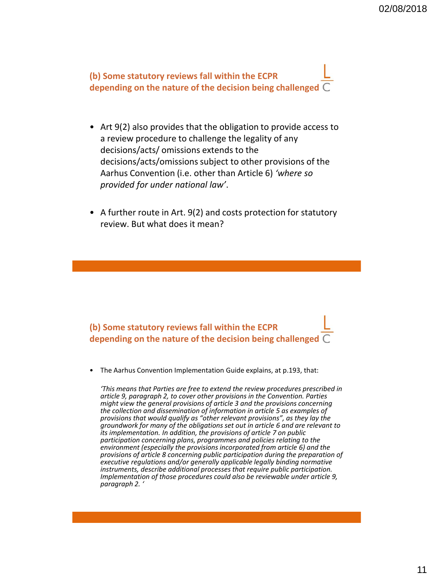**(b) Some statutory reviews fall within the ECPR depending on the nature of the decision being challenged**

- Art 9(2) also provides that the obligation to provide access to a review procedure to challenge the legality of any decisions/acts/ omissions extends to the decisions/acts/omissions subject to other provisions of the Aarhus Convention (i.e. other than Article 6) *'where so provided for under national law'*.
- A further route in Art. 9(2) and costs protection for statutory review. But what does it mean?

**(b) Some statutory reviews fall within the ECPR depending on the nature of the decision being challenged**

• The Aarhus Convention Implementation Guide explains, at p.193, that:

*'This means that Parties are free to extend the review procedures prescribed in article 9, paragraph 2, to cover other provisions in the Convention. Parties might view the general provisions of article 3 and the provisions concerning the collection and dissemination of information in article 5 as examples of provisions that would qualify as "other relevant provisions", as they lay the groundwork for many of the obligations set out in article 6 and are relevant to its implementation. In addition, the provisions of article 7 on public participation concerning plans, programmes and policies relating to the environment (especially the provisions incorporated from article 6) and the provisions of article 8 concerning public participation during the preparation of executive regulations and/or generally applicable legally binding normative instruments, describe additional processes that require public participation. Implementation of those procedures could also be reviewable under article 9, paragraph 2. '*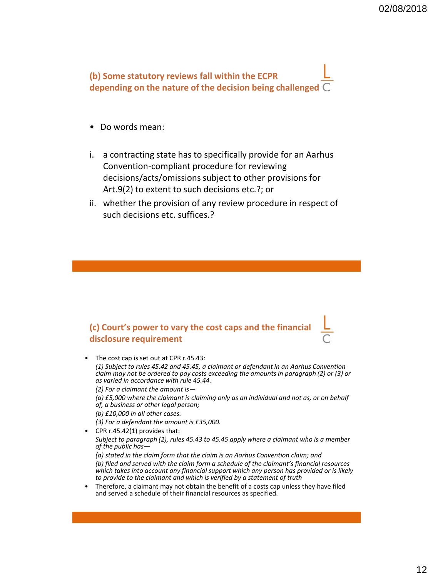**(b) Some statutory reviews fall within the ECPR depending on the nature of the decision being challenged**

- Do words mean:
- i. a contracting state has to specifically provide for an Aarhus Convention-compliant procedure for reviewing decisions/acts/omissions subject to other provisions for Art.9(2) to extent to such decisions etc.?; or
- ii. whether the provision of any review procedure in respect of such decisions etc. suffices.?

#### **(c) Court's power to vary the cost caps and the financial disclosure requirement**

The cost cap is set out at CPR r.45.43:

*(1) Subject to rules 45.42 and 45.45, a claimant or defendant in an Aarhus Convention claim may not be ordered to pay costs exceeding the amounts in paragraph (2) or (3) or as varied in accordance with rule 45.44.*

*(2) For a claimant the amount is—*

*(a) £5,000 where the claimant is claiming only as an individual and not as, or on behalf of, a business or other legal person;*

- *(b) £10,000 in all other cases.*
- *(3) For a defendant the amount is £35,000.*
- CPR r.45.42(1) provides that:

*Subject to paragraph (2), rules 45.43 to 45.45 apply where a claimant who is a member of the public has—*

*(a) stated in the claim form that the claim is an Aarhus Convention claim; and (b) filed and served with the claim form a schedule of the claimant's financial resources which takes into account any financial support which any person has provided or is likely to provide to the claimant and which is verified by a statement of truth*

• Therefore, a claimant may not obtain the benefit of a costs cap unless they have filed and served a schedule of their financial resources as specified.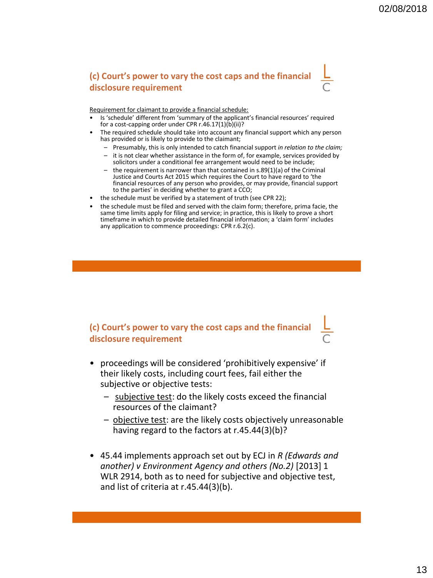#### **(c) Court's power to vary the cost caps and the financial disclosure requirement**

Requirement for claimant to provide a financial schedule:

- Is 'schedule' different from 'summary of the applicant's financial resources' required for a cost-capping order under CPR r.46.17(1)(b)(ii)?
- The required schedule should take into account any financial support which any person has provided or is likely to provide to the claimant;
	- Presumably, this is only intended to catch financial support *in relation to the claim;*
	- it is not clear whether assistance in the form of, for example, services provided by solicitors under a conditional fee arrangement would need to be include;
	- the requirement is narrower than that contained in s.89(1)(a) of the Criminal Justice and Courts Act 2015 which requires the Court to have regard to 'the financial resources of any person who provides, or may provide, financial support to the parties' in deciding whether to grant a CCO;
- the schedule must be verified by a statement of truth (see CPR 22);
- the schedule must be filed and served with the claim form; therefore, prima facie, the same time limits apply for filing and service; in practice, this is likely to prove a short timeframe in which to provide detailed financial information; a 'claim form' includes any application to commence proceedings: CPR r.6.2(c).

**(c) Court's power to vary the cost caps and the financial disclosure requirement**

- proceedings will be considered 'prohibitively expensive' if their likely costs, including court fees, fail either the subjective or objective tests:
	- subjective test: do the likely costs exceed the financial resources of the claimant?
	- objective test: are the likely costs objectively unreasonable having regard to the factors at r.45.44(3)(b)?
- 45.44 implements approach set out by ECJ in *R (Edwards and another) v Environment Agency and others (No.2)* [2013] 1 WLR 2914, both as to need for subjective and objective test, and list of criteria at r.45.44(3)(b).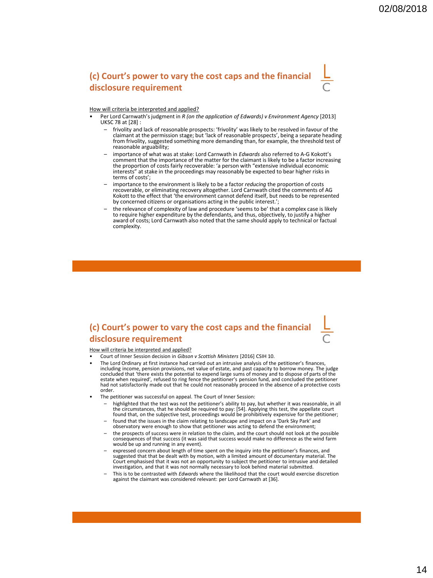#### **(c) Court's power to vary the cost caps and the financial disclosure requirement**

#### How will criteria be interpreted and applied?

- Per Lord Carnwath'sjudgment in *R (on the application of Edwards) v Environment Agency* [2013] UKSC 78 at [28] :
	- frivolity and lack of reasonable prospects: 'frivolity' was likely to be resolved in favour of the claimant at the permission stage; but 'lack of reasonable prospects', being a separate heading from frivolity, suggested something more demanding than, for example, the threshold test of reasonable arguability;
	- importance of what was at stake: Lord Carnwath in *Edwards* also referred to A-G Kokott's comment that the importance of the matter for the claimant is likely to be a factor increasing the proportion of costs fairly recoverable: 'a person with "extensive individual economic interests" at stake in the proceedings may reasonably be expected to bear higher risks in terms of costs';
	- importance to the environment is likely to be a factor *reducing* the proportion of costs recoverable, or eliminating recovery altogether. Lord Carnwath cited the comments of AG Kokott to the effect that 'the environment cannot defend itself, but needs to be represented by concerned citizens or organisations acting in the public interest.';
	- the relevance of complexity of law and procedure 'seems to be' that a complex case is likely to require higher expenditure by the defendants, and thus, objectively, to justify a higher award of costs; Lord Carnwath also noted that the same should apply to technical or factual complexity.

#### **(c) Court's power to vary the cost caps and the financial disclosure requirement**

#### How will criteria be interpreted and applied?

- Court of Inner Session decision in *Gibson v Scottish Ministers* [2016] CSIH 10.
- The Lord Ordinary at first instance had carried out an intrusive analysis of the petitioner's finances, including income, pension provisions, net value of estate, and past capacity to borrow money. The judge concluded that 'there exists the potential to expend large sums of money and to dispose of parts of the estate when required', refused to ring fence the petitioner's pension fund, and concluded the petitioner had not satisfactorily made out that he could not reasonably proceed in the absence of a protective costs order.
- The petitioner was successful on appeal. The Court of Inner Session:
	- highlighted that the test was not the petitioner's ability to pay, but whether it was reasonable, in all the circumstances, that he should be required to pay: [54]. Applying this test, the appellate court found that, on the subjective test, proceedings would be prohibitively expensive for the petitioner;
	- found that the issues in the claim relating to landscape and impact on a 'Dark Sky Park' and observatory were enough to show that petitioner was acting to defend the environment;
	- the prospects of success were in relation to the claim, and the court should not look at the possible consequences of that success (it was said that success would make no difference as the wind farm would be up and running in any event).
	- expressed concern about length of time spent on the inquiry into the petitioner's finances, and suggested that that be dealt with by motion, with a limited amount of documentary material. The Court emphasised that it was not an opportunity to subject the petitioner to intrusive and detailed investigation, and that it was not normally necessary to look behind material submitted.
	- This is to be contrasted with *Edwards* where the likelihood that the court would exercise discretion against the claimant was considered relevant: per Lord Carnwath at [36].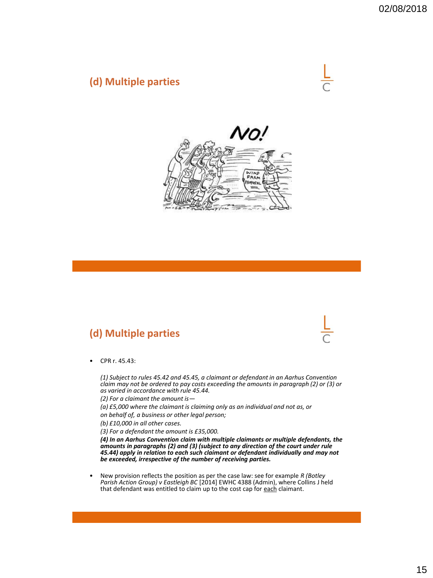## **(d) Multiple parties**





# **(d) Multiple parties**



• CPR r. 45.43:

*(1) Subject to rules 45.42 and 45.45, a claimant or defendant in an Aarhus Convention claim may not be ordered to pay costs exceeding the amounts in paragraph (2) or (3) or as varied in accordance with rule 45.44.*

*(2) For a claimant the amount is—*

*(a) £5,000 where the claimant is claiming only as an individual and not as, or*

*on behalf of, a business or other legal person;*

*(b) £10,000 in all other cases.*

*(3) For a defendant the amount is £35,000.*

*(4) In an Aarhus Convention claim with multiple claimants or multiple defendants, the amounts in paragraphs (2) and (3) (subject to any direction of the court under rule 45.44) apply in relation to each such claimant or defendant individually and may not be exceeded, irrespective of the number of receiving parties.*

• New provision reflects the position as per the case law: see for example *R (Botley Parish Action Group) v Eastleigh BC* [2014] EWHC 4388 (Admin), where Collins J held that defendant was entitled to claim up to the cost cap for each claimant.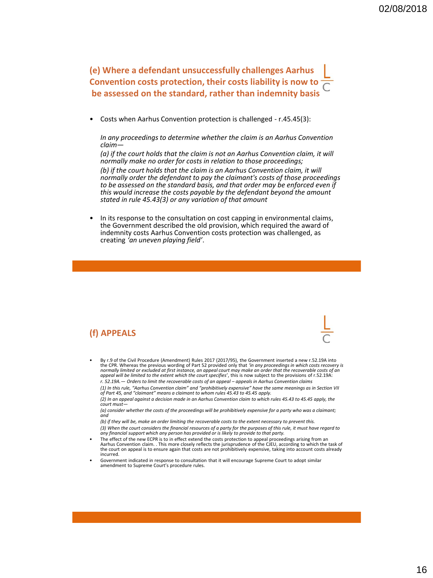**(e) Where a defendant unsuccessfully challenges Aarhus Convention costs protection, their costs liability is now to be assessed on the standard, rather than indemnity basis** 

• Costs when Aarhus Convention protection is challenged - r.45.45(3):

*In any proceedings to determine whether the claim is an Aarhus Convention claim—*

*(a) if the court holds that the claim is not an Aarhus Convention claim, it will normally make no order for costs in relation to those proceedings; (b) if the court holds that the claim is an Aarhus Convention claim, it will normally order the defendant to pay the claimant's costs of those proceedings to be assessed on the standard basis, and that order may be enforced even if this would increase the costs payable by the defendant beyond the amount stated in rule 45.43(3) or any variation of that amount*

In its response to the consultation on cost capping in environmental claims, the Government described the old provision, which required the award of indemnity costs Aarhus Convention costs protection was challenged, as creating *'an uneven playing field'*.

#### **(f) APPEALS**

• By r.9 of the Civil Procedure (Amendment) Rules 2017 (2017/95), the Government inserted a new r.52.19A into the CPR. Whereas the previous wording of Part 52 provided only that *'in any proceedings in which costs recovery is*<br>n*ormally limited or excluded at first instance, an appeal court may make an order that the recoverable c r. 52.19A.— Orders to limit the recoverable costs of an appeal – appeals in Aarhus Convention claims*

*(1) In this rule, "Aarhus Convention claim" and "prohibitively expensive" have the same meanings as in Section VII of Part 45, and "claimant" means a claimant to whom rules 45.43 to 45.45 apply.*

*(2) In an appeal against a decision made in an Aarhus Convention claim to which rules 45.43 to 45.45 apply, the court must—*

*(a) consider whether the costs of the proceedings will be prohibitively expensive for a party who was a claimant; and*

*(b) if they will be, make an order limiting the recoverable costs to the extent necessary to prevent this.*

*(3) When the court considers the financial resources of a party for the purposes of this rule, it must have regard to any financial support which any person has provided or is likely to provide to that party.*

- The effect of the new ECPR is to in effect extend the costs protection to appeal proceedings arising from an Aarhus Convention claim. . This more closely reflects the jurisprudence of the CJEU, according to which the task of<br>the court on appeal is to ensure again that costs are not prohibitively expensive, taking into account cos incurred.
- Government indicated in response to consultation that it will encourage Supreme Court to adopt similar amendment to Supreme Court's procedure rules.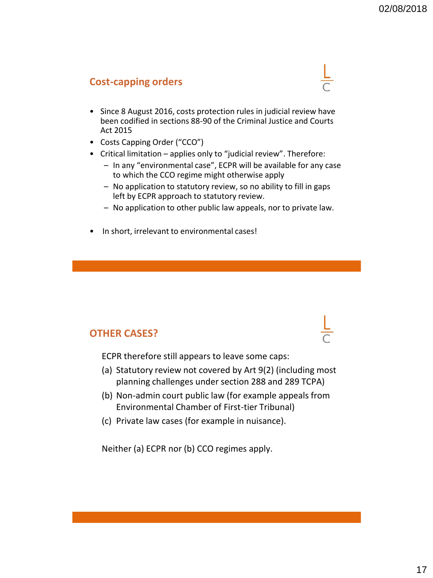### **Cost-capping orders**

- Since 8 August 2016, costs protection rules in judicial review have been codified in sections 88-90 of the Criminal Justice and Courts Act 2015
- Costs Capping Order ("CCO")
- Critical limitation applies only to "judicial review". Therefore:
	- In any "environmental case", ECPR will be available for any case to which the CCO regime might otherwise apply
	- No application to statutory review, so no ability to fill in gaps left by ECPR approach to statutory review.
	- No application to other public law appeals, nor to private law.
- In short, irrelevant to environmental cases!

### **OTHER CASES?**

ECPR therefore still appears to leave some caps:

- (a) Statutory review not covered by Art 9(2) (including most planning challenges under section 288 and 289 TCPA)
- (b) Non-admin court public law (for example appeals from Environmental Chamber of First-tier Tribunal)
- (c) Private law cases (for example in nuisance).

Neither (a) ECPR nor (b) CCO regimes apply.



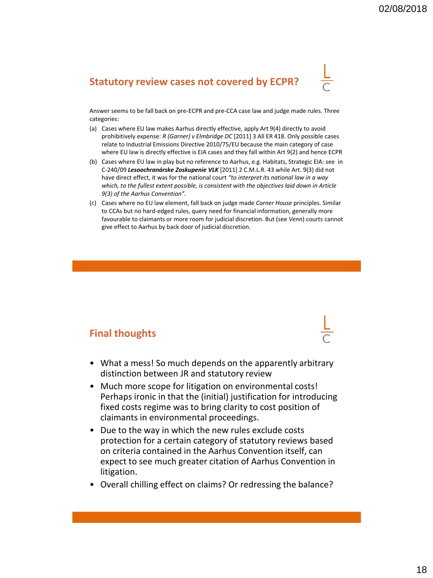# **Statutory review cases not covered by ECPR?**



Answer seems to be fall back on pre-ECPR and pre-CCA case law and judge made rules. Three categories:

- (a) Cases where EU law makes Aarhus directly effective, apply Art 9(4) directly to avoid prohibitively expense: *R (Garner) v Elmbridge DC* [2011] 3 All ER 418. Only possible cases relate to Industrial Emissions Directive 2010/75/EU because the main category of case where EU law is directly effective is EIA cases and they fall within Art 9(2) and hence ECPR
- (b) Cases where EU law in play but no reference to Aarhus, e.g. Habitats, Strategic EIA: see in C-240/09 *Lesoochranárske Zoskupenie VLK* [2011] 2 C.M.L.R. 43 while Art. 9(3) did not have direct effect, it was for the national court *"to interpret its national law in a way which, to the fullest extent possible, is consistent with the objectives laid down in Article 9(3) of the Aarhus Convention".*
- (c) Cases where no EU law element, fall back on judge made *Corner House* principles. Similar to CCAs but no hard-edged rules, query need for financial information, generally more favourable to claimants or more room for judicial discretion. But (see *Venn*) courts cannot give effect to Aarhus by back door of judicial discretion.

#### **Final thoughts**

- What a mess! So much depends on the apparently arbitrary distinction between JR and statutory review
- Much more scope for litigation on environmental costs! Perhaps ironic in that the (initial) justification for introducing fixed costs regime was to bring clarity to cost position of claimants in environmental proceedings.
- Due to the way in which the new rules exclude costs protection for a certain category of statutory reviews based on criteria contained in the Aarhus Convention itself, can expect to see much greater citation of Aarhus Convention in litigation.
- Overall chilling effect on claims? Or redressing the balance?